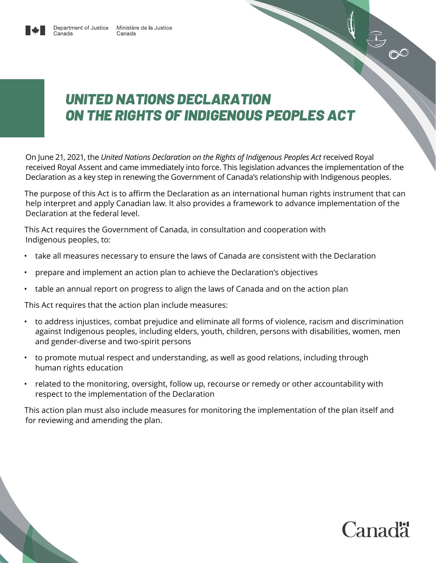

#### *UNITED NATIONS DECLARATION ON THE RIGHTS OF INDIGENOUS PEOPLES ACT*

On June 21, 2021, the *United Nations Declaration on the Rights of Indigenous Peoples Act* received Royal received Royal Assent and came immediately into force. This legislation advances the implementation of the Declaration as a key step in renewing the Government of Canada's relationship with Indigenous peoples.

The purpose of this Act is to affirm the Declaration as an international human rights instrument that can help interpret and apply Canadian law. It also provides a framework to advance implementation of the Declaration at the federal level.

This Act requires the Government of Canada, in consultation and cooperation with Indigenous peoples, to:

- take all measures necessary to ensure the laws of Canada are consistent with the Declaration
- prepare and implement an action plan to achieve the Declaration's objectives
- table an annual report on progress to align the laws of Canada and on the action plan

This Act requires that the action plan include measures:

- to address injustices, combat prejudice and eliminate all forms of violence, racism and discrimination against Indigenous peoples, including elders, youth, children, persons with disabilities, women, men and gender-diverse and two-spirit persons
- to promote mutual respect and understanding, as well as good relations, including through human rights education
- related to the monitoring, oversight, follow up, recourse or remedy or other accountability with respect to the implementation of the Declaration

This action plan must also include measures for monitoring the implementation of the plan itself and for reviewing and amending the plan.



300



Canada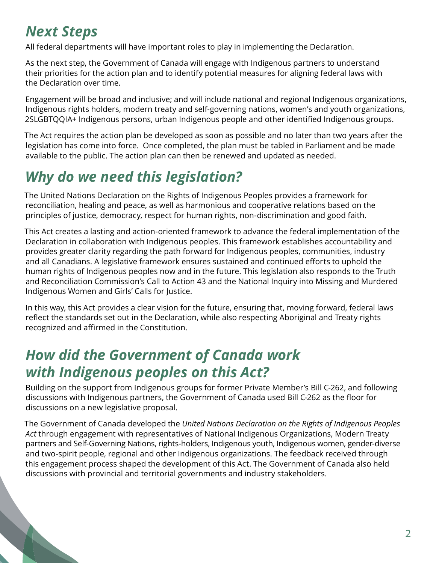### *Next Steps*

All federal departments will have important roles to play in implementing the Declaration.

As the next step, the Government of Canada will engage with Indigenous partners to understand their priorities for the action plan and to identify potential measures for aligning federal laws with the Declaration over time.

Engagement will be broad and inclusive; and will include national and regional Indigenous organizations, Indigenous rights holders, modern treaty and self-governing nations, women's and youth organizations, 2SLGBTQQIA+ Indigenous persons, urban Indigenous people and other identified Indigenous groups.

The Act requires the action plan be developed as soon as possible and no later than two years after the legislation has come into force. Once completed, the plan must be tabled in Parliament and be made available to the public. The action plan can then be renewed and updated as needed.

# *Why do we need this legislation?*

The United Nations Declaration on the Rights of Indigenous Peoples provides a framework for reconciliation, healing and peace, as well as harmonious and cooperative relations based on the principles of justice, democracy, respect for human rights, non-discrimination and good faith.

This Act creates a lasting and action-oriented framework to advance the federal implementation of the Declaration in collaboration with Indigenous peoples. This framework establishes accountability and provides greater clarity regarding the path forward for Indigenous peoples, communities, industry and all Canadians. A legislative framework ensures sustained and continued efforts to uphold the human rights of Indigenous peoples now and in the future. This legislation also responds to the Truth and Reconciliation Commission's Call to Action 43 and the National Inquiry into Missing and Murdered Indigenous Women and Girls' Calls for Justice.

In this way, this Act provides a clear vision for the future, ensuring that, moving forward, federal laws reflect the standards set out in the Declaration, while also respecting Aboriginal and Treaty rights recognized and affirmed in the Constitution.

#### *How did the Government of Canada work with Indigenous peoples on this Act?*

Building on the support from Indigenous groups for former Private Member's Bill C-262, and following discussions with Indigenous partners, the Government of Canada used Bill C-262 as the floor for discussions on a new legislative proposal.

The Government of Canada developed the *United Nations Declaration on the Rights of Indigenous Peoples Act* through engagement with representatives of National Indigenous Organizations, Modern Treaty partners and Self-Governing Nations, rights-holders, Indigenous youth, Indigenous women, gender-diverse and two-spirit people, regional and other Indigenous organizations. The feedback received through this engagement process shaped the development of this Act. The Government of Canada also held discussions with provincial and territorial governments and industry stakeholders.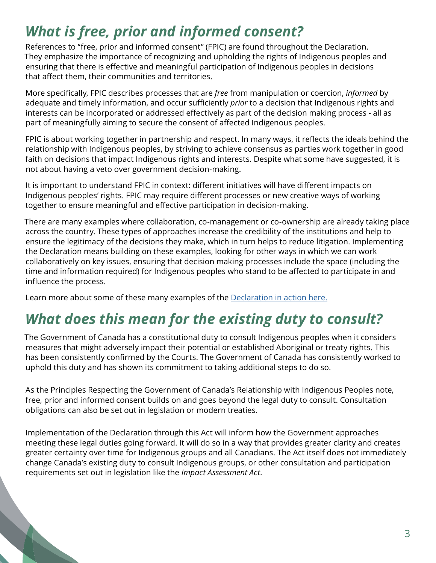## *What is free, prior and informed consent?*

References to "free, prior and informed consent" (FPIC) are found throughout the Declaration. They emphasize the importance of recognizing and upholding the rights of Indigenous peoples and ensuring that there is effective and meaningful participation of Indigenous peoples in decisions that affect them, their communities and territories.

More specifically, FPIC describes processes that are *free* from manipulation or coercion, *informed* by adequate and timely information, and occur sufficiently *prior* to a decision that Indigenous rights and interests can be incorporated or addressed effectively as part of the decision making process - all as part of meaningfully aiming to secure the consent of affected Indigenous peoples.

FPIC is about working together in partnership and respect. In many ways, it reflects the ideals behind the relationship with Indigenous peoples, by striving to achieve consensus as parties work together in good faith on decisions that impact Indigenous rights and interests. Despite what some have suggested, it is not about having a veto over government decision-making.

It is important to understand FPIC in context: different initiatives will have different impacts on Indigenous peoples' rights. FPIC may require different processes or new creative ways of working together to ensure meaningful and effective participation in decision-making.

There are many examples where collaboration, co-management or co-ownership are already taking place across the country. These types of approaches increase the credibility of the institutions and help to ensure the legitimacy of the decisions they make, which in turn helps to reduce litigation. Implementing the Declaration means building on these examples, looking for other ways in which we can work collaboratively on key issues, ensuring that decision making processes include the space (including the time and information required) for Indigenous peoples who stand to be affected to participate in and influence the process.

Learn more about some of these many examples of the [Declaration in action here.](https://www.justice.gc.ca/eng/declaration/action.html)

### *What does this mean for the existing duty to consult?*

The Government of Canada has a constitutional duty to consult Indigenous peoples when it considers measures that might adversely impact their potential or established Aboriginal or treaty rights. This has been consistently confirmed by the Courts. The Government of Canada has consistently worked to uphold this duty and has shown its commitment to taking additional steps to do so.

As the Principles Respecting the Government of Canada's Relationship with Indigenous Peoples note, free, prior and informed consent builds on and goes beyond the legal duty to consult. Consultation obligations can also be set out in legislation or modern treaties.

Implementation of the Declaration through this Act will inform how the Government approaches meeting these legal duties going forward. It will do so in a way that provides greater clarity and creates greater certainty over time for Indigenous groups and all Canadians. The Act itself does not immediately change Canada's existing duty to consult Indigenous groups, or other consultation and participation requirements set out in legislation like the *Impact Assessment Act*.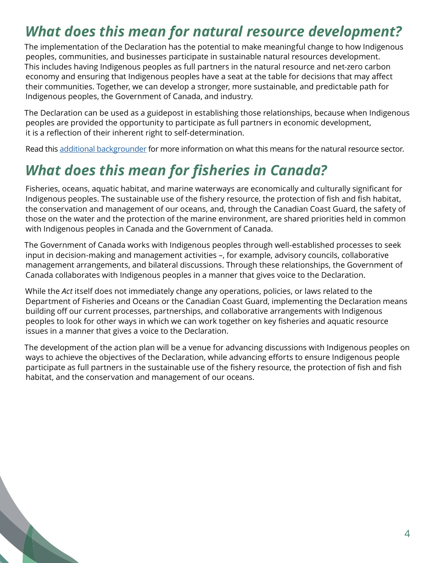#### *What does this mean for natural resource development?*

The implementation of the Declaration has the potential to make meaningful change to how Indigenous peoples, communities, and businesses participate in sustainable natural resources development. This includes having Indigenous peoples as full partners in the natural resource and net-zero carbon economy and ensuring that Indigenous peoples have a seat at the table for decisions that may affect their communities. Together, we can develop a stronger, more sustainable, and predictable path for Indigenous peoples, the Government of Canada, and industry.

The Declaration can be used as a guidepost in establishing those relationships, because when Indigenous peoples are provided the opportunity to participate as full partners in economic development, it is a reflection of their inherent right to self-determination.

Read this [additional backgrounder](https://www.justice.gc.ca/eng/declaration/bgnrcan-bgrncan.html) for more information on what this means for the natural resource sector.

#### *What does this mean for fisheries in Canada?*

Fisheries, oceans, aquatic habitat, and marine waterways are economically and culturally significant for Indigenous peoples. The sustainable use of the fishery resource, the protection of fish and fish habitat, the conservation and management of our oceans, and, through the Canadian Coast Guard, the safety of those on the water and the protection of the marine environment, are shared priorities held in common with Indigenous peoples in Canada and the Government of Canada.

The Government of Canada works with Indigenous peoples through well-established processes to seek input in decision-making and management activities –, for example, advisory councils, collaborative management arrangements, and bilateral discussions. Through these relationships, the Government of Canada collaborates with Indigenous peoples in a manner that gives voice to the Declaration.

While the *Act* itself does not immediately change any operations, policies, or laws related to the Department of Fisheries and Oceans or the Canadian Coast Guard, implementing the Declaration means building off our current processes, partnerships, and collaborative arrangements with Indigenous peoples to look for other ways in which we can work together on key fisheries and aquatic resource issues in a manner that gives a voice to the Declaration.

The development of the action plan will be a venue for advancing discussions with Indigenous peoples on ways to achieve the objectives of the Declaration, while advancing efforts to ensure Indigenous people participate as full partners in the sustainable use of the fishery resource, the protection of fish and fish habitat, and the conservation and management of our oceans.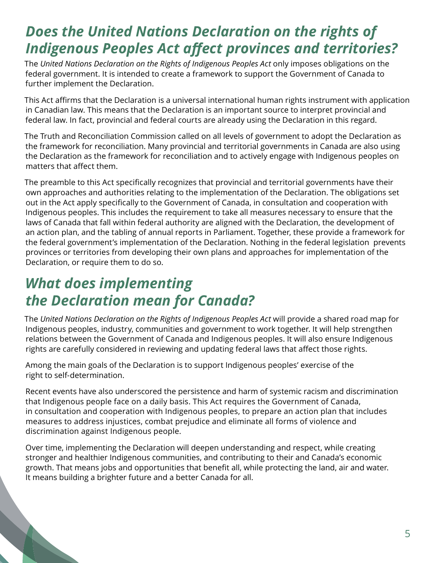#### *Does the United Nations Declaration on the rights of Indigenous Peoples Act affect provinces and territories?*

The *United Nations Declaration on the Rights of Indigenous Peoples Act* only imposes obligations on the federal government. It is intended to create a framework to support the Government of Canada to further implement the Declaration.

This Act affirms that the Declaration is a universal international human rights instrument with application in Canadian law. This means that the Declaration is an important source to interpret provincial and federal law. In fact, provincial and federal courts are already using the Declaration in this regard.

The Truth and Reconciliation Commission called on all levels of government to adopt the Declaration as the framework for reconciliation. Many provincial and territorial governments in Canada are also using the Declaration as the framework for reconciliation and to actively engage with Indigenous peoples on matters that affect them.

The preamble to this Act specifically recognizes that provincial and territorial governments have their own approaches and authorities relating to the implementation of the Declaration. The obligations set out in the Act apply specifically to the Government of Canada, in consultation and cooperation with Indigenous peoples. This includes the requirement to take all measures necessary to ensure that the laws of Canada that fall within federal authority are aligned with the Declaration, the development of an action plan, and the tabling of annual reports in Parliament. Together, these provide a framework for the federal government's implementation of the Declaration. Nothing in the federal legislation prevents provinces or territories from developing their own plans and approaches for implementation of the Declaration, or require them to do so.

#### *What does implementing the Declaration mean for Canada?*

The *United Nations Declaration on the Rights of Indigenous Peoples Act* will provide a shared road map for Indigenous peoples, industry, communities and government to work together. It will help strengthen relations between the Government of Canada and Indigenous peoples. It will also ensure Indigenous rights are carefully considered in reviewing and updating federal laws that affect those rights.

Among the main goals of the Declaration is to support Indigenous peoples' exercise of the right to self-determination.

Recent events have also underscored the persistence and harm of systemic racism and discrimination that Indigenous people face on a daily basis. This Act requires the Government of Canada, in consultation and cooperation with Indigenous peoples, to prepare an action plan that includes measures to address injustices, combat prejudice and eliminate all forms of violence and discrimination against Indigenous people.

Over time, implementing the Declaration will deepen understanding and respect, while creating stronger and healthier Indigenous communities, and contributing to their and Canada's economic growth. That means jobs and opportunities that benefit all, while protecting the land, air and water. It means building a brighter future and a better Canada for all.